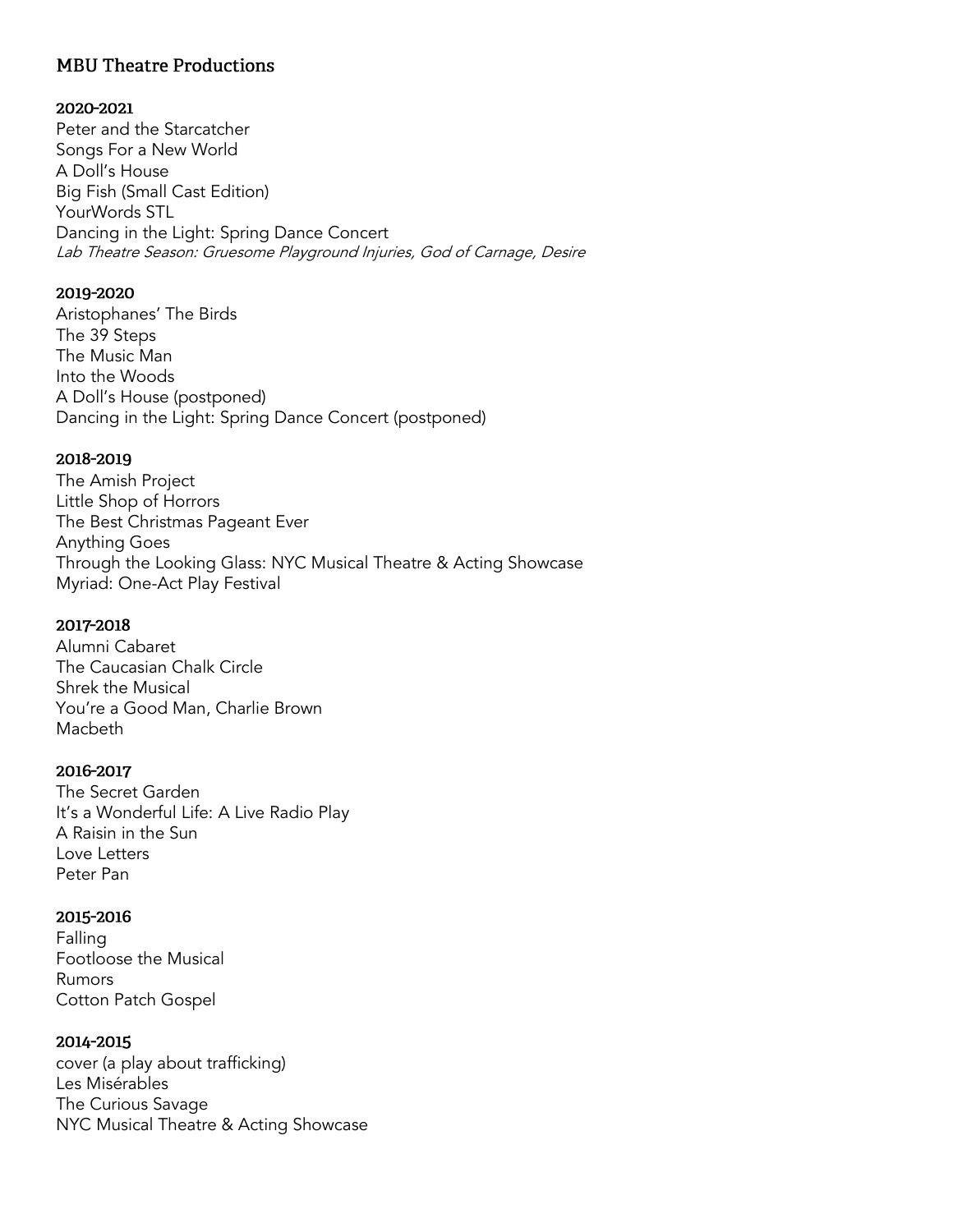# **MBU Theatre Productions**

## 2020-2021

Peter and the Starcatcher Songs For a New World A Doll's House Big Fish (Small Cast Edition) YourWords STL Dancing in the Light: Spring Dance Concert Lab Theatre Season: Gruesome Playground Injuries, God of Carnage, Desire

### 2019-2020

Aristophanes' The Birds The 39 Steps The Music Man Into the Woods A Doll's House (postponed) Dancing in the Light: Spring Dance Concert (postponed)

## 2018-2019

The Amish Project Little Shop of Horrors The Best Christmas Pageant Ever Anything Goes Through the Looking Glass: NYC Musical Theatre & Acting Showcase Myriad: One-Act Play Festival

## 2017-2018

Alumni Cabaret The Caucasian Chalk Circle Shrek the Musical You're a Good Man, Charlie Brown Macbeth

## 2016-2017

The Secret Garden It's a Wonderful Life: A Live Radio Play A Raisin in the Sun Love Letters Peter Pan

### 2015-2016

Falling Footloose the Musical Rumors Cotton Patch Gospel

## 2014-2015

cover (a play about trafficking) Les Misérables The Curious Savage NYC Musical Theatre & Acting Showcase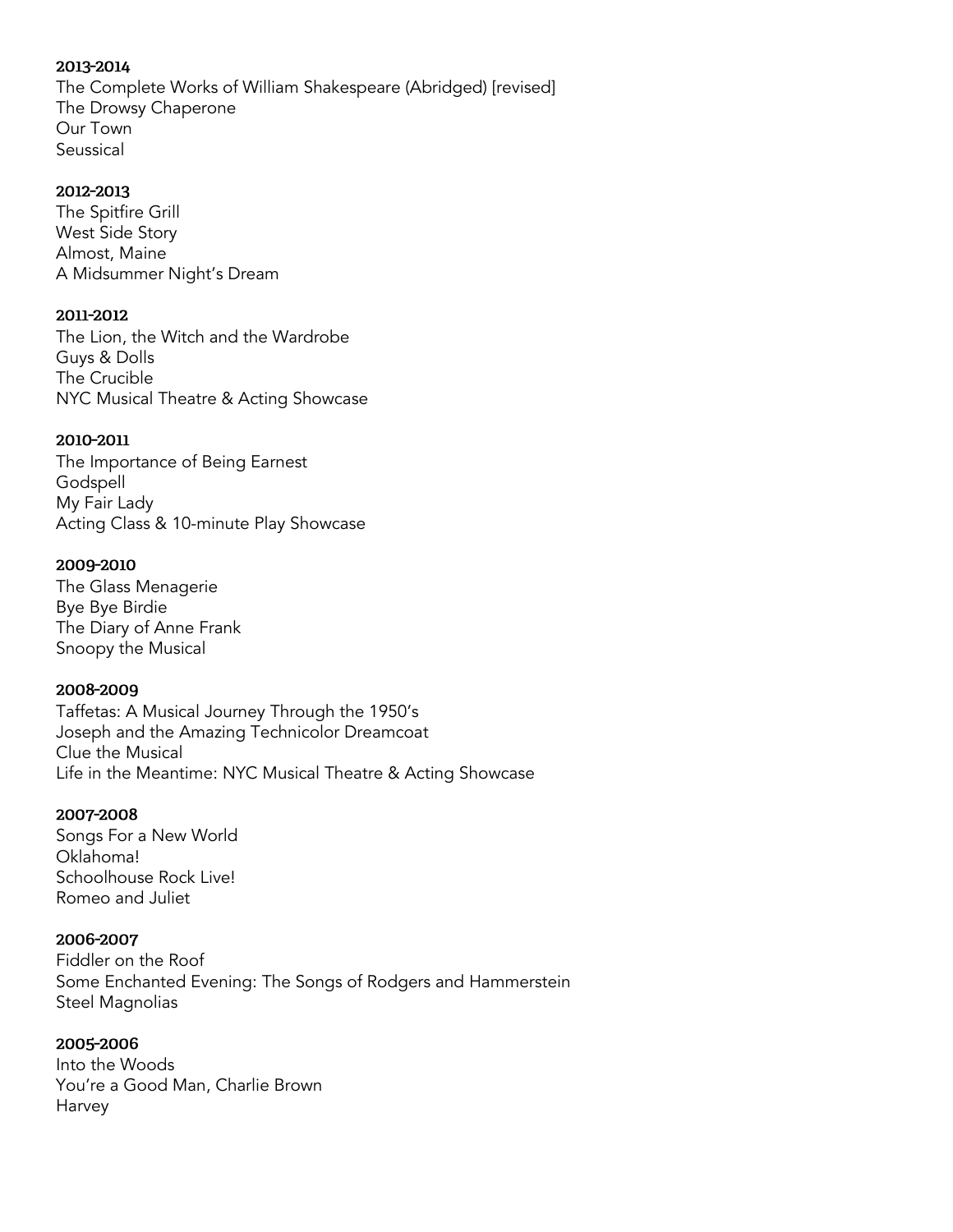### 2013-2014

The Complete Works of William Shakespeare (Abridged) [revised] The Drowsy Chaperone Our Town Seussical

### 2012-2013

The Spitfire Grill West Side Story Almost, Maine A Midsummer Night's Dream

### 2011-2012

The Lion, the Witch and the Wardrobe Guys & Dolls The Crucible NYC Musical Theatre & Acting Showcase

#### 2010-2011

The Importance of Being Earnest Godspell My Fair Lady Acting Class & 10-minute Play Showcase

### 2009-2010

The Glass Menagerie Bye Bye Birdie The Diary of Anne Frank Snoopy the Musical

#### 2008-2009

Taffetas: A Musical Journey Through the 1950's Joseph and the Amazing Technicolor Dreamcoat Clue the Musical Life in the Meantime: NYC Musical Theatre & Acting Showcase

#### 2007-2008

Songs For a New World Oklahoma! Schoolhouse Rock Live! Romeo and Juliet

#### 2006-2007

Fiddler on the Roof Some Enchanted Evening: The Songs of Rodgers and Hammerstein Steel Magnolias

#### 2005-2006

Into the Woods You're a Good Man, Charlie Brown Harvey